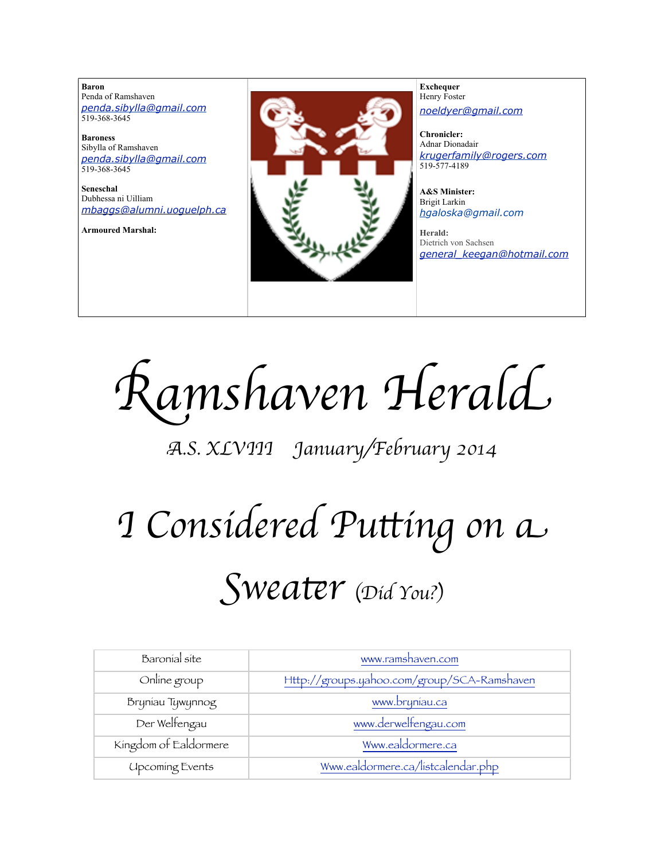**Baron**  Penda of Ramshaven *[penda.sibylla@gmail.com](mailto:penda.sibylla@gmail.com)* 519-368-3645

**Baroness** Sibylla of Ramshaven *[penda.sibylla@gmail.com](mailto:penda.sibylla@gmail.com)* 519-368-3645

**Seneschal** Dubhessa ni Uilliam *[mbaggs@alumni.uoguelph.ca](mailto:patchett@sympatico.ca)*

**Armoured Marshal:**



**Exchequer** Henry Foster *[noeldyer@gmail.com](mailto:noeldyer@gmail.com)*

**Chronicler:** Adnar Dionadair *[krugerfamily@rogers.com](mailto:erhardkruger@gmail.com)* 519-577-4189

**A&S Minister:** Brigit Larkin *hgaloska@gmail.com*

**Herald:** Dietrich von Sachsen *[general\\_keegan@hotmail.com](mailto:general_keegan@hotmail.com)*

R*amshaven Heral*d

# A*.S. XLVIII January/February 2014*

# I *Considered Pu*t*ing on* a S*wea*t*r* (*Did You?*)

| Baronial site          | www.ramshaven.com                           |
|------------------------|---------------------------------------------|
| Online group           | Http://groups.yahoo.com/group/SCA-Ramshaven |
| Bryniau Tywynnog       | www.bryniau.ca                              |
| Der Welfengau          | www.derwelfengau.com                        |
| Kingdom of Ealdormere  | Www.ealdormere.ca                           |
| <b>Upcoming Events</b> | Www.ealdormere.ca/listcalendar.php          |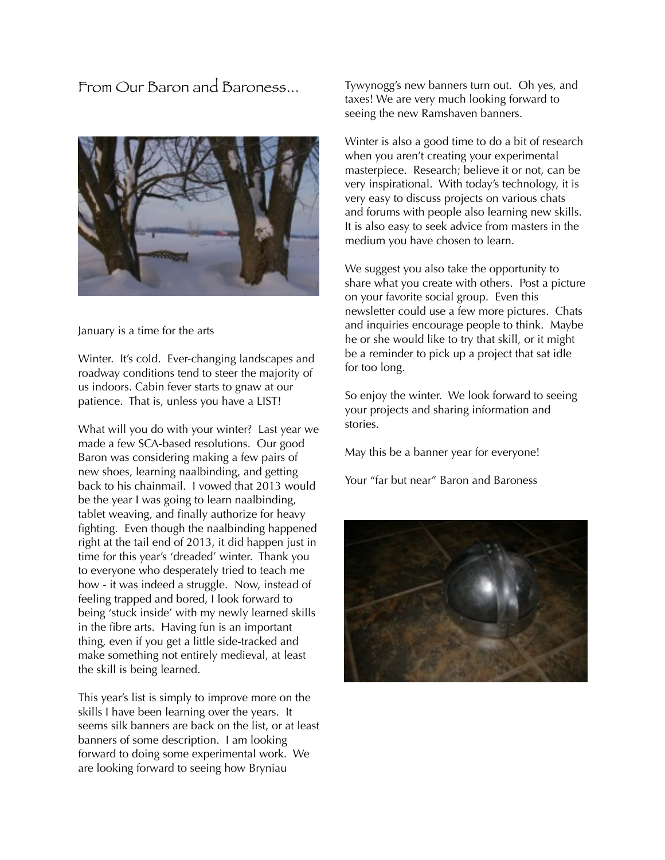From Our Baron and Baroness...



#### January is a time for the arts

Winter. It's cold. Ever-changing landscapes and roadway conditions tend to steer the majority of us indoors. Cabin fever starts to gnaw at our patience. That is, unless you have a LIST!

What will you do with your winter? Last year we made a few SCA-based resolutions. Our good Baron was considering making a few pairs of new shoes, learning naalbinding, and getting back to his chainmail. I vowed that 2013 would be the year I was going to learn naalbinding, tablet weaving, and finally authorize for heavy fighting. Even though the naalbinding happened right at the tail end of 2013, it did happen just in time for this year's 'dreaded' winter. Thank you to everyone who desperately tried to teach me how - it was indeed a struggle. Now, instead of feeling trapped and bored, I look forward to being 'stuck inside' with my newly learned skills in the fibre arts. Having fun is an important thing, even if you get a little side-tracked and make something not entirely medieval, at least the skill is being learned.

This year's list is simply to improve more on the skills I have been learning over the years. It seems silk banners are back on the list, or at least banners of some description. I am looking forward to doing some experimental work. We are looking forward to seeing how Bryniau

Tywynogg's new banners turn out. Oh yes, and taxes! We are very much looking forward to seeing the new Ramshaven banners.

Winter is also a good time to do a bit of research when you aren't creating your experimental masterpiece. Research; believe it or not, can be very inspirational. With today's technology, it is very easy to discuss projects on various chats and forums with people also learning new skills. It is also easy to seek advice from masters in the medium you have chosen to learn.

We suggest you also take the opportunity to share what you create with others. Post a picture on your favorite social group. Even this newsletter could use a few more pictures. Chats and inquiries encourage people to think. Maybe he or she would like to try that skill, or it might be a reminder to pick up a project that sat idle for too long.

So enjoy the winter. We look forward to seeing your projects and sharing information and stories.

May this be a banner year for everyone!

Your "far but near" Baron and Baroness

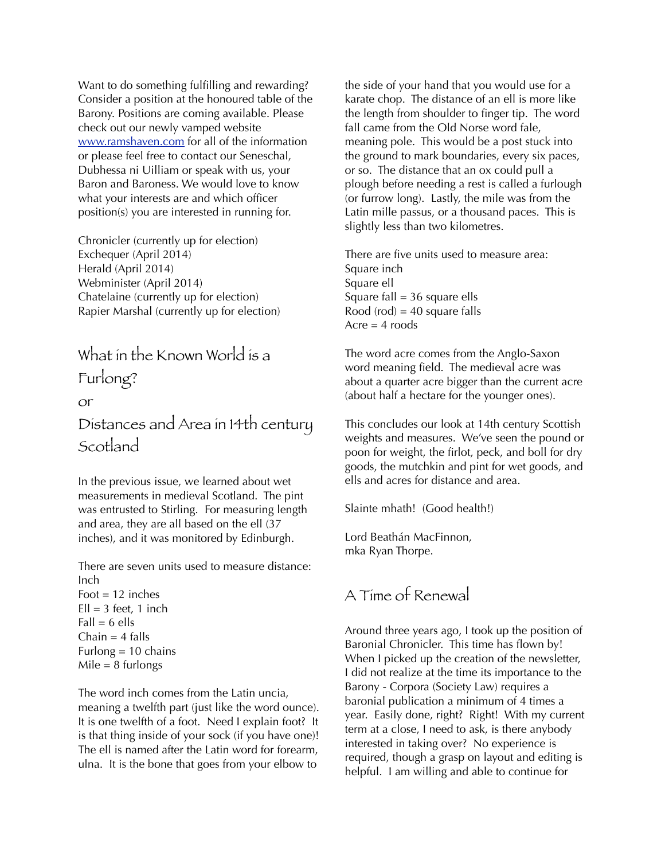Want to do something fulfilling and rewarding? Consider a position at the honoured table of the Barony. Positions are coming available. Please check out our newly vamped website [www.ramshaven.com](http://www.ramshaven.com/) for all of the information or please feel free to contact our Seneschal, Dubhessa ni Uilliam or speak with us, your Baron and Baroness. We would love to know what your interests are and which officer position(s) you are interested in running for.

Chronicler (currently up for election) Exchequer (April 2014) Herald (April 2014) Webminister (April 2014) Chatelaine (currently up for election) Rapier Marshal (currently up for election)

# What in the Known World is a

Furlong?

#### or

Distances and Area in 14th century Scotland

In the previous issue, we learned about wet measurements in medieval Scotland. The pint was entrusted to Stirling. For measuring length and area, they are all based on the ell (37 inches), and it was monitored by Edinburgh.

There are seven units used to measure distance: Inch

Foot  $= 12$  inches  $Ell = 3$  feet, 1 inch  $Fall = 6$  ells Chain  $=$  4 falls Furlong  $= 10$  chains  $Mile = 8$  furlongs

The word inch comes from the Latin uncia, meaning a twelfth part (just like the word ounce). It is one twelfth of a foot. Need I explain foot? It is that thing inside of your sock (if you have one)! The ell is named after the Latin word for forearm, ulna. It is the bone that goes from your elbow to

the side of your hand that you would use for a karate chop. The distance of an ell is more like the length from shoulder to finger tip. The word fall came from the Old Norse word fale, meaning pole. This would be a post stuck into the ground to mark boundaries, every six paces, or so. The distance that an ox could pull a plough before needing a rest is called a furlough (or furrow long). Lastly, the mile was from the Latin mille passus, or a thousand paces. This is slightly less than two kilometres.

There are five units used to measure area: Square inch Square ell Square fall  $=$  36 square ells Rood (rod) =  $40$  square falls  $Acre = 4$  roods

The word acre comes from the Anglo-Saxon word meaning field. The medieval acre was about a quarter acre bigger than the current acre (about half a hectare for the younger ones).

This concludes our look at 14th century Scottish weights and measures. We've seen the pound or poon for weight, the firlot, peck, and boll for dry goods, the mutchkin and pint for wet goods, and ells and acres for distance and area.

Slainte mhath! (Good health!)

Lord Beathán MacFinnon, mka Ryan Thorpe.

## A Time of Renewal

Around three years ago, I took up the position of Baronial Chronicler. This time has flown by! When I picked up the creation of the newsletter, I did not realize at the time its importance to the Barony - Corpora (Society Law) requires a baronial publication a minimum of 4 times a year. Easily done, right? Right! With my current term at a close, I need to ask, is there anybody interested in taking over? No experience is required, though a grasp on layout and editing is helpful. I am willing and able to continue for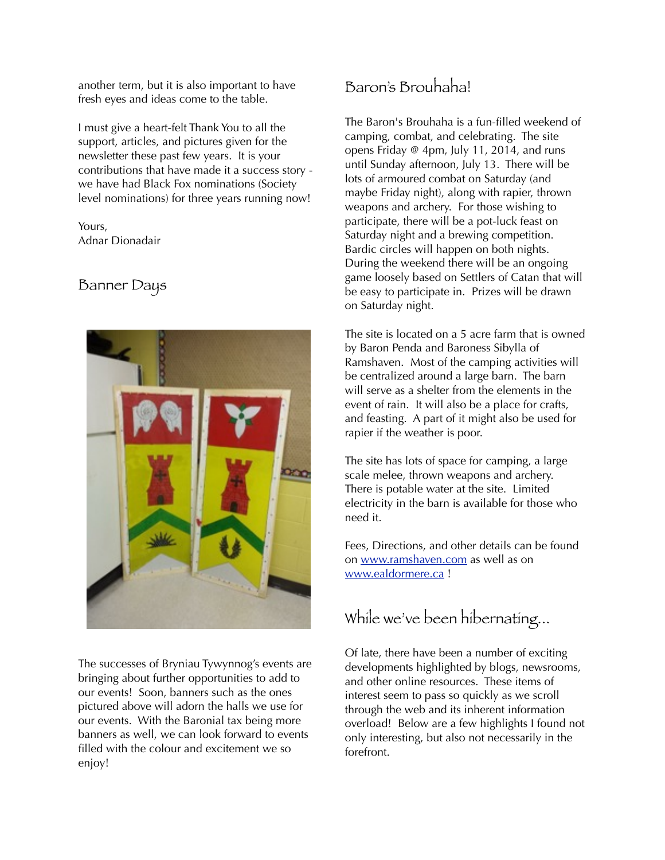another term, but it is also important to have fresh eyes and ideas come to the table.

I must give a heart-felt Thank You to all the support, articles, and pictures given for the newsletter these past few years. It is your contributions that have made it a success story we have had Black Fox nominations (Society level nominations) for three years running now!

Yours, Adnar Dionadair

#### Banner Days



The successes of Bryniau Tywynnog's events are bringing about further opportunities to add to our events! Soon, banners such as the ones pictured above will adorn the halls we use for our events. With the Baronial tax being more banners as well, we can look forward to events filled with the colour and excitement we so enjoy!

## Baron's Brouhaha!

The Baron's Brouhaha is a fun-filled weekend of camping, combat, and celebrating. The site opens Friday @ 4pm, July 11, 2014, and runs until Sunday afternoon, July 13. There will be lots of armoured combat on Saturday (and maybe Friday night), along with rapier, thrown weapons and archery. For those wishing to participate, there will be a pot-luck feast on Saturday night and a brewing competition. Bardic circles will happen on both nights. During the weekend there will be an ongoing game loosely based on Settlers of Catan that will be easy to participate in. Prizes will be drawn on Saturday night.

The site is located on a 5 acre farm that is owned by Baron Penda and Baroness Sibylla of Ramshaven. Most of the camping activities will be centralized around a large barn. The barn will serve as a shelter from the elements in the event of rain. It will also be a place for crafts, and feasting. A part of it might also be used for rapier if the weather is poor.

The site has lots of space for camping, a large scale melee, thrown weapons and archery. There is potable water at the site. Limited electricity in the barn is available for those who need it.

Fees, Directions, and other details can be found on [www.ramshaven.com](http://www.ramshaven.com) as well as on [www.ealdormere.ca](http://www.ealdormere.ca) !

## While we've been hibernating...

Of late, there have been a number of exciting developments highlighted by blogs, newsrooms, and other online resources. These items of interest seem to pass so quickly as we scroll through the web and its inherent information overload! Below are a few highlights I found not only interesting, but also not necessarily in the forefront.